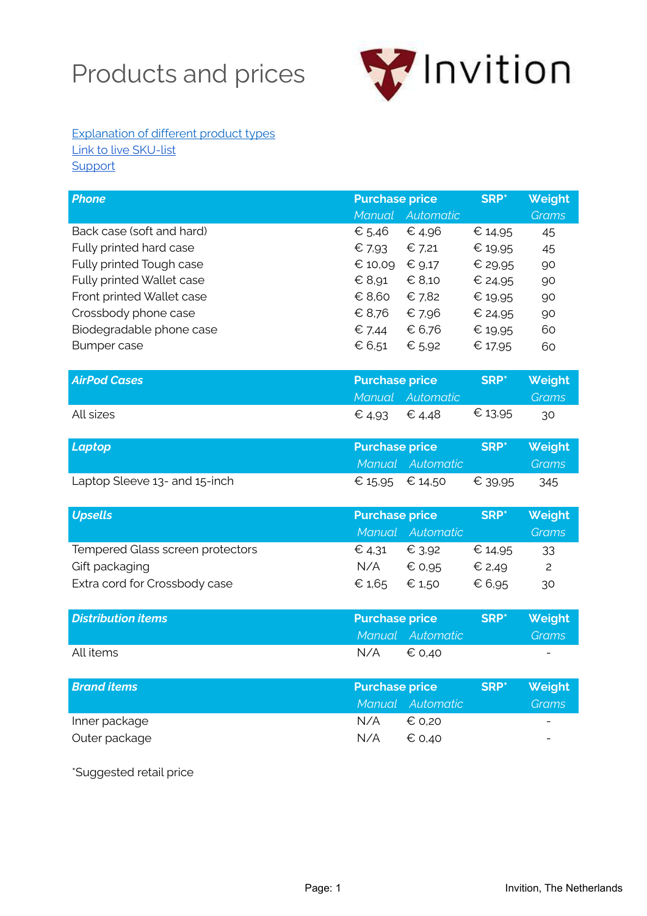## Products and prices



#### [Explanation of different product types](https://invition.eu/en/large-range-of-custom-cases/) [Link to live SKU-list](https://invition.eu/productlist/) **[Support](https://invition.eu/support)**

| <b>Phone</b>                     | <b>Purchase price</b> |                  | <b>SRP</b> *     | Weight       |
|----------------------------------|-----------------------|------------------|------------------|--------------|
|                                  |                       | Manual Automatic |                  | <b>Grams</b> |
| Back case (soft and hard)        | € 5,46                | € 4,96           | € 14,95          | 45           |
| Fully printed hard case          | € 7,93                | € 7,21           | € 19,95          | 45           |
| Fully printed Tough case         | € 10,09               | € 9,17           | € 29,95          | 90           |
| Fully printed Wallet case        | $\epsilon$ 8,91       | $\epsilon$ 8,10  | € 24,95          | 90           |
| Front printed Wallet case        | € 8,60                | € 7,82           | € 19,95          | 90           |
| Crossbody phone case             | € 8,76                | € 7,96           | € 24,95          | 90           |
| Biodegradable phone case         | $\epsilon$ 7,44       | € 6,76           | € 19,95          | 60           |
| <b>Bumper case</b>               | € 6,51                | € 5,92           | € 17,95          | 60           |
| <b>AirPod Cases</b>              | <b>Purchase price</b> |                  | SRP*             | Weight       |
|                                  |                       | Manual Automatic |                  | <b>Grams</b> |
| All sizes                        | € 4,93                | € 4,48           | € 13,95          | 30           |
| Laptop                           | <b>Purchase price</b> |                  | SRP*             | Weight       |
|                                  |                       | Manual Automatic |                  | <b>Grams</b> |
| Laptop Sleeve 13- and 15-inch    | € 15,95               | € 14,50          | € 39.95          | 345          |
| <b>Upsells</b>                   | <b>Purchase price</b> |                  | SRP <sup>*</sup> | Weight       |
|                                  |                       | Manual Automatic |                  | <b>Grams</b> |
| Tempered Glass screen protectors | $\epsilon$ 4,31       | € 3,92           | € 14,95          | 33           |
| Gift packaging                   | N/A                   | € 0,95           | € 2,49           | 2            |
| Extra cord for Crossbody case    | € 1,65                | € 1,50           | € 6,95           | 30           |
| <b>Distribution items</b>        | <b>Purchase price</b> |                  | <b>SRP</b> *     | Weight       |
|                                  |                       | Manual Automatic |                  | <b>Grams</b> |
| All items                        | N/A                   | € 0,40           |                  |              |
| <b>Brand items</b>               | <b>Purchase price</b> |                  | <b>SRP*</b>      | Weight       |
|                                  | Manual                | Automatic        |                  | <b>Grams</b> |
| Inner package                    | N/A                   | € 0,20           |                  |              |
| Outer package                    | N/A                   | € 0,40           |                  |              |

\*Suggested retail price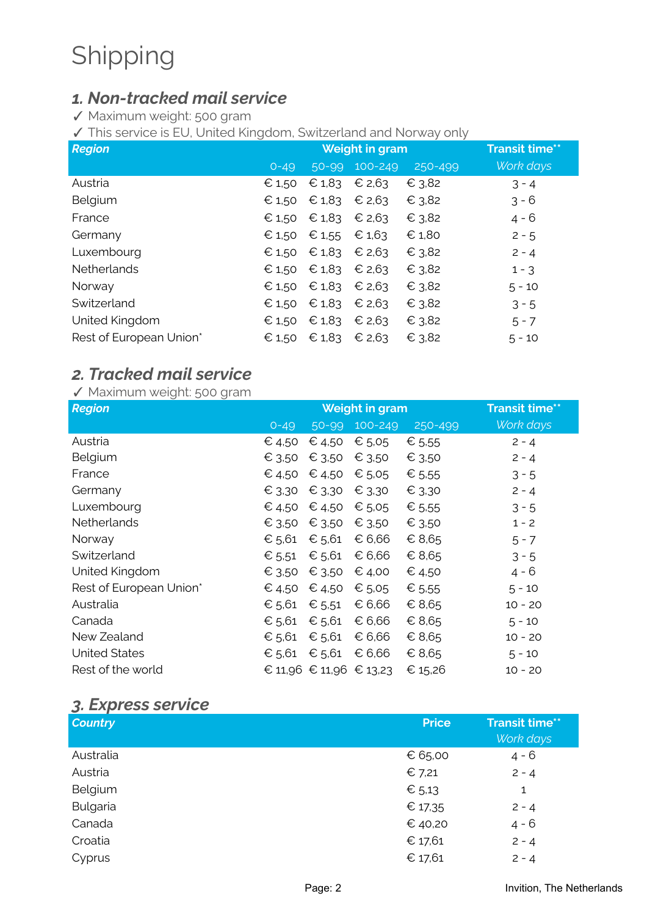# Shipping

### *1. Non-tracked mail service*

✓ Maximum weight: 500 gram

✓ This service is EU, United Kingdom, Switzerland and Norway only

| <b>Region</b>           | Weight in gram |                 |             |         | <b>Transit time**</b> |
|-------------------------|----------------|-----------------|-------------|---------|-----------------------|
|                         | $O - 49$       | 50-99           | $100 - 249$ | 250-499 | Work days             |
| Austria                 | € 1,50         | $\epsilon$ 1,83 | € 2,63      | € 3,82  | $3 - 4$               |
| Belgium                 | € 1,50         | $\epsilon$ 1,83 | € 2,63      | € 3,82  | $3 - 6$               |
| France                  | € 1,50         | $\epsilon$ 1,83 | € 2,63      | € 3,82  | $4 - 6$               |
| Germany                 | € 1,50         | € 1,55          | € 1,63      | € 1,80  | $2 - 5$               |
| Luxembourg              | € 1,50         | $\epsilon$ 1,83 | € 2,63      | € 3,82  | $2 - 4$               |
| <b>Netherlands</b>      | € 1,50         | $\epsilon$ 1,83 | € 2,63      | € 3,82  | $1 - 3$               |
| Norway                  | € 1,50         | $\epsilon$ 1,83 | € 2,63      | € 3,82  | $5 - 10$              |
| Switzerland             | € 1,50         | $\epsilon$ 1,83 | € 2,63      | € 3,82  | $3 - 5$               |
| United Kingdom          | € 1,50         | $\epsilon$ 1,83 | € 2,63      | € 3,82  | $5 - 7$               |
| Rest of European Union* | € 1,50         | $\epsilon$ 1,83 | € 2,63      | € 3,82  | $5 - 10$              |

### *2. Tracked mail service*

#### ✓ Maximum weight: 500 gram

| <b>Region</b>           | <b>Weight in gram</b> |                         |             | <b>Transit time**</b> |           |
|-------------------------|-----------------------|-------------------------|-------------|-----------------------|-----------|
|                         | $O - 49$              | 50-99                   | $100 - 249$ | 250-499               | Work days |
| Austria                 | € 4,50                | € 4,50                  | € 5,05      | € 5,55                | $2 - 4$   |
| Belgium                 | € 3,50                | € 3,50                  | € 3,50      | € 3,50                | $2 - 4$   |
| France                  | € 4,50                | € 4,50                  | € $5.05$    | € 5.55                | $3 - 5$   |
| Germany                 | € 3,30                | € 3,30                  | € 3,30      | € 3,30                | $2 - 4$   |
| Luxembourg              | € 4,50                | € 4,50                  | € $5.05$    | € 5.55                | $3 - 5$   |
| Netherlands             | € 3,50                | € 3,50                  | € 3,50      | € 3.50                | $1 - 2$   |
| Norway                  | € 5,61                | € 5,61                  | € 6,66      | € 8,65                | $5 - 7$   |
| Switzerland             | € 5,51                | € $5,61$                | € 6,66      | € 8,65                | $3 - 5$   |
| United Kingdom          | € 3,50                | € 3,50                  | € 4,00      | € 4,50                | $4 - 6$   |
| Rest of European Union* | € 4,50                | € 4,50                  | € 5,05      | € 5.55                | $5 - 10$  |
| Australia               | € 5,61                | € $5,51$                | € 6,66      | € 8,65                | $10 - 20$ |
| Canada                  | € 5,61                | € $5,61$                | € 6,66      | € 8,65                | $5 - 10$  |
| New Zealand             | € 5,61                | € 5,61                  | € 6,66      | € 8,65                | $10 - 20$ |
| <b>United States</b>    | € 5,61                | € $5,61$                | € 6,66      | € 8,65                | $5 - 10$  |
| Rest of the world       |                       | € 11,96 € 11,96 € 13,23 |             | € 15,26               | $10 - 20$ |

#### *3. Express service*

| <b>Country</b> | <b>Price</b> | <b>Transit time**</b><br>Work days |
|----------------|--------------|------------------------------------|
| Australia      | € 65,00      | $4 - 6$                            |
| Austria        | € 7,21       | $2 - 4$                            |
| Belgium        | € $5,13$     | 1                                  |
| Bulgaria       | € 17,35      | $2 - 4$                            |
| Canada         | € 40,20      | $4 - 6$                            |
| Croatia        | € 17,61      | $2 - 4$                            |
| Cyprus         | € 17,61      | $2 - 4$                            |